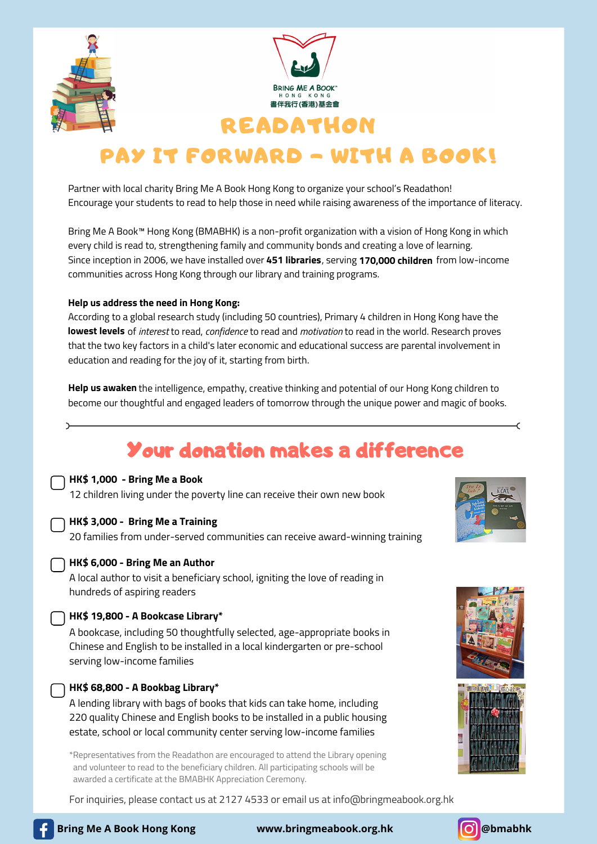



## READATHON

# PAY IT FORWARD - WITH A BOOK!

Partner with local charity Bring Me A Book Hong Kong to organize your school's Readathon! Encourage your students to read to help those in need while raising awareness of the importance of literacy.

Bring Me A Book™ Hong Kong (BMABHK) is a non-profit organization with a vision of Hong Kong in which every child is read to, strengthening family and community bonds and creating a love of learning.  $\blacksquare$ Since inception in 2006, we have installed over **451 libraries**, serving **170,000 children** from low-income communities across Hong Kong through our library and training programs.

#### **Help us address the need in Hong Kong:**

According to a global research study (including 50 countries), Primary 4 children in Hong Kong have the **lowest levels** of *interest* to read, *confidence* to read and *motivation* to read in the world. Research proves that the two key factors in a child's later economic and educational success are parental involvement in education and reading for the joy of it, starting from birth.

**Help us awaken** the intelligence, empathy, creative thinking and potential of our Hong Kong children to become our thoughtful and engaged leaders of tomorrow through the unique power and magic of books.

# Your donation makes a difference

#### **HK\$ 1,000 - Bring Me a Book**

12 children living under the poverty line can receive their own new book

### **HK\$ 3,000 - Bring Me a Training**

20 families from under-served communities can receive award-winning training



#### **HK\$ 6,000 - Bring Me an Author**

A local author to visit a beneficiary school, igniting the love of reading in hundreds of aspiring readers

#### **HK\$ 19,800 - A Bookcase Library\***

A bookcase, including 50 thoughtfully selected, age-appropriate books in Chinese and English to be installed in a local kindergarten or pre-school serving low-income families



A lending library with bags of books that kids can take home, including 220 quality Chinese and English books to be installed in a public housing estate, school or local community center serving low-income families

\*Representatives from the Readathon are encouraged to attend the Library opening and volunteer to read to the beneficiary children. All participating schools will be awarded a certificate at the BMABHK Appreciation Ceremony.

For inquiries, please contact us at 2127 4533 or email us at info@bringmeabook.org.hk









**Bring Me A Book Hong Kong www.bringmeabook.org.hk @bmabhk**

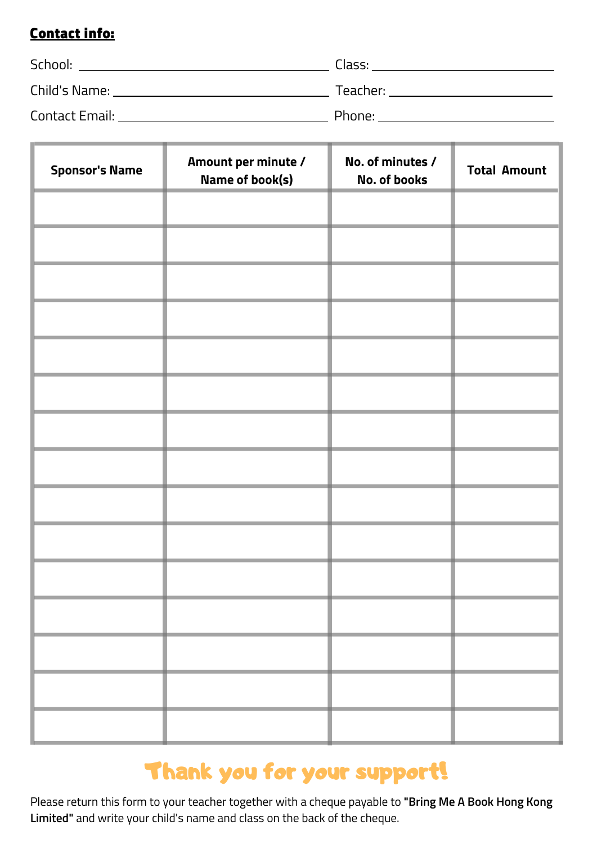### Contact info:

| School:        | Class:   |
|----------------|----------|
| Child's Name:  | Teacher: |
| Contact Email: | Phone:   |

| <b>Sponsor's Name</b>    | Amount per minute /<br><b>Name of book(s)</b> | No. of minutes /<br><b>No. of books</b> | <b>Total Amount</b> |
|--------------------------|-----------------------------------------------|-----------------------------------------|---------------------|
|                          |                                               |                                         |                     |
|                          |                                               |                                         |                     |
|                          |                                               |                                         |                     |
|                          |                                               |                                         |                     |
|                          |                                               |                                         |                     |
|                          |                                               |                                         |                     |
|                          |                                               |                                         |                     |
|                          |                                               |                                         |                     |
|                          |                                               |                                         |                     |
|                          |                                               |                                         |                     |
|                          |                                               |                                         |                     |
|                          |                                               |                                         |                     |
|                          |                                               |                                         |                     |
|                          |                                               |                                         |                     |
| <b>Contract Contract</b> |                                               |                                         |                     |



Please return this form to your teacher together with a cheque payable to **"Bring Me A Book Hong Kong Limited"** and write your child's name and class on the back of the cheque.